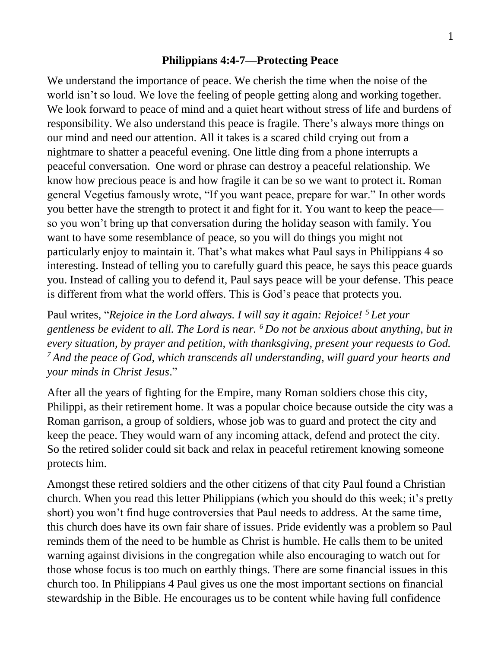## **Philippians 4:4-7—Protecting Peace**

We understand the importance of peace. We cherish the time when the noise of the world isn't so loud. We love the feeling of people getting along and working together. We look forward to peace of mind and a quiet heart without stress of life and burdens of responsibility. We also understand this peace is fragile. There's always more things on our mind and need our attention. All it takes is a scared child crying out from a nightmare to shatter a peaceful evening. One little ding from a phone interrupts a peaceful conversation. One word or phrase can destroy a peaceful relationship. We know how precious peace is and how fragile it can be so we want to protect it. Roman general Vegetius famously wrote, "If you want peace, prepare for war." In other words you better have the strength to protect it and fight for it. You want to keep the peace so you won't bring up that conversation during the holiday season with family. You want to have some resemblance of peace, so you will do things you might not particularly enjoy to maintain it. That's what makes what Paul says in Philippians 4 so interesting. Instead of telling you to carefully guard this peace, he says this peace guards you. Instead of calling you to defend it, Paul says peace will be your defense. This peace is different from what the world offers. This is God's peace that protects you.

Paul writes, "*Rejoice in the Lord always. I will say it again: Rejoice! <sup>5</sup> Let your gentleness be evident to all. The Lord is near. <sup>6</sup> Do not be anxious about anything, but in every situation, by prayer and petition, with thanksgiving, present your requests to God. <sup>7</sup> And the peace of God, which transcends all understanding, will guard your hearts and your minds in Christ Jesus*."

After all the years of fighting for the Empire, many Roman soldiers chose this city, Philippi, as their retirement home. It was a popular choice because outside the city was a Roman garrison, a group of soldiers, whose job was to guard and protect the city and keep the peace. They would warn of any incoming attack, defend and protect the city. So the retired solider could sit back and relax in peaceful retirement knowing someone protects him.

Amongst these retired soldiers and the other citizens of that city Paul found a Christian church. When you read this letter Philippians (which you should do this week; it's pretty short) you won't find huge controversies that Paul needs to address. At the same time, this church does have its own fair share of issues. Pride evidently was a problem so Paul reminds them of the need to be humble as Christ is humble. He calls them to be united warning against divisions in the congregation while also encouraging to watch out for those whose focus is too much on earthly things. There are some financial issues in this church too. In Philippians 4 Paul gives us one the most important sections on financial stewardship in the Bible. He encourages us to be content while having full confidence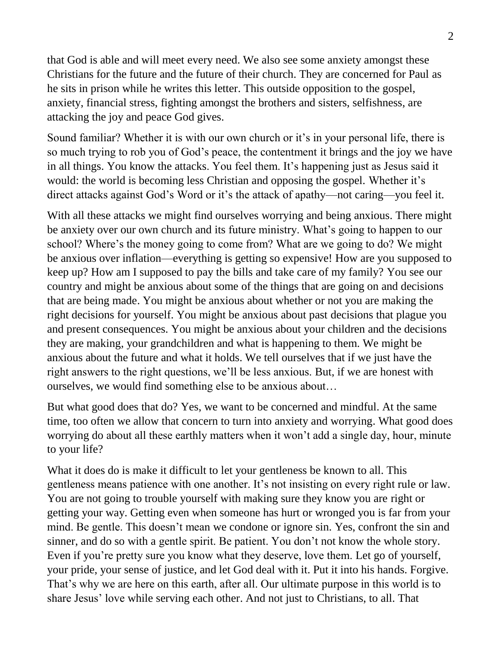that God is able and will meet every need. We also see some anxiety amongst these Christians for the future and the future of their church. They are concerned for Paul as he sits in prison while he writes this letter. This outside opposition to the gospel, anxiety, financial stress, fighting amongst the brothers and sisters, selfishness, are attacking the joy and peace God gives.

Sound familiar? Whether it is with our own church or it's in your personal life, there is so much trying to rob you of God's peace, the contentment it brings and the joy we have in all things. You know the attacks. You feel them. It's happening just as Jesus said it would: the world is becoming less Christian and opposing the gospel. Whether it's direct attacks against God's Word or it's the attack of apathy—not caring—you feel it.

With all these attacks we might find ourselves worrying and being anxious. There might be anxiety over our own church and its future ministry. What's going to happen to our school? Where's the money going to come from? What are we going to do? We might be anxious over inflation—everything is getting so expensive! How are you supposed to keep up? How am I supposed to pay the bills and take care of my family? You see our country and might be anxious about some of the things that are going on and decisions that are being made. You might be anxious about whether or not you are making the right decisions for yourself. You might be anxious about past decisions that plague you and present consequences. You might be anxious about your children and the decisions they are making, your grandchildren and what is happening to them. We might be anxious about the future and what it holds. We tell ourselves that if we just have the right answers to the right questions, we'll be less anxious. But, if we are honest with ourselves, we would find something else to be anxious about…

But what good does that do? Yes, we want to be concerned and mindful. At the same time, too often we allow that concern to turn into anxiety and worrying. What good does worrying do about all these earthly matters when it won't add a single day, hour, minute to your life?

What it does do is make it difficult to let your gentleness be known to all. This gentleness means patience with one another. It's not insisting on every right rule or law. You are not going to trouble yourself with making sure they know you are right or getting your way. Getting even when someone has hurt or wronged you is far from your mind. Be gentle. This doesn't mean we condone or ignore sin. Yes, confront the sin and sinner, and do so with a gentle spirit. Be patient. You don't not know the whole story. Even if you're pretty sure you know what they deserve, love them. Let go of yourself, your pride, your sense of justice, and let God deal with it. Put it into his hands. Forgive. That's why we are here on this earth, after all. Our ultimate purpose in this world is to share Jesus' love while serving each other. And not just to Christians, to all. That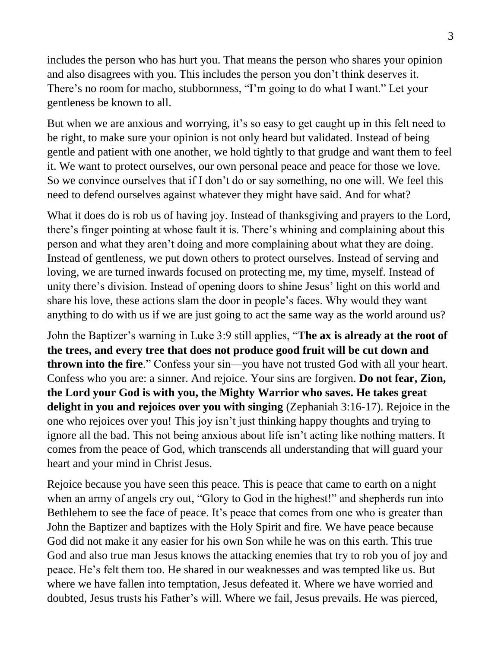includes the person who has hurt you. That means the person who shares your opinion and also disagrees with you. This includes the person you don't think deserves it. There's no room for macho, stubbornness, "I'm going to do what I want." Let your gentleness be known to all.

But when we are anxious and worrying, it's so easy to get caught up in this felt need to be right, to make sure your opinion is not only heard but validated. Instead of being gentle and patient with one another, we hold tightly to that grudge and want them to feel it. We want to protect ourselves, our own personal peace and peace for those we love. So we convince ourselves that if I don't do or say something, no one will. We feel this need to defend ourselves against whatever they might have said. And for what?

What it does do is rob us of having joy. Instead of thanksgiving and prayers to the Lord, there's finger pointing at whose fault it is. There's whining and complaining about this person and what they aren't doing and more complaining about what they are doing. Instead of gentleness, we put down others to protect ourselves. Instead of serving and loving, we are turned inwards focused on protecting me, my time, myself. Instead of unity there's division. Instead of opening doors to shine Jesus' light on this world and share his love, these actions slam the door in people's faces. Why would they want anything to do with us if we are just going to act the same way as the world around us?

John the Baptizer's warning in Luke 3:9 still applies, "**The ax is already at the root of the trees, and every tree that does not produce good fruit will be cut down and thrown into the fire**." Confess your sin—you have not trusted God with all your heart. Confess who you are: a sinner. And rejoice. Your sins are forgiven. **Do not fear, Zion, the Lord your God is with you, the Mighty Warrior who saves. He takes great delight in you and rejoices over you with singing** (Zephaniah 3:16-17). Rejoice in the one who rejoices over you! This joy isn't just thinking happy thoughts and trying to ignore all the bad. This not being anxious about life isn't acting like nothing matters. It comes from the peace of God, which transcends all understanding that will guard your heart and your mind in Christ Jesus.

Rejoice because you have seen this peace. This is peace that came to earth on a night when an army of angels cry out, "Glory to God in the highest!" and shepherds run into Bethlehem to see the face of peace. It's peace that comes from one who is greater than John the Baptizer and baptizes with the Holy Spirit and fire. We have peace because God did not make it any easier for his own Son while he was on this earth. This true God and also true man Jesus knows the attacking enemies that try to rob you of joy and peace. He's felt them too. He shared in our weaknesses and was tempted like us. But where we have fallen into temptation, Jesus defeated it. Where we have worried and doubted, Jesus trusts his Father's will. Where we fail, Jesus prevails. He was pierced,